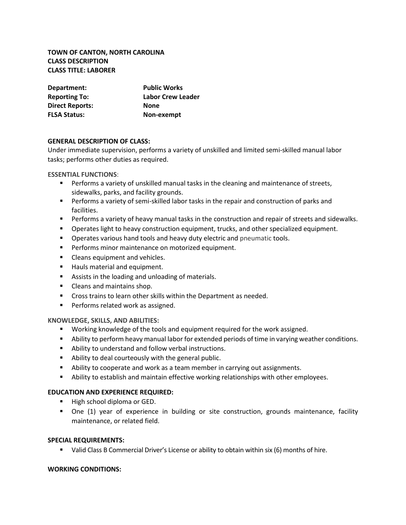## **TOWN OF CANTON, NORTH CAROLINA CLASS DESCRIPTION CLASS TITLE: LABORER**

| Department:            | <b>Public Works</b> |
|------------------------|---------------------|
| <b>Reporting To:</b>   | Labor Crew Leader   |
| <b>Direct Reports:</b> | <b>None</b>         |
| <b>FLSA Status:</b>    | Non-exempt          |

### **GENERAL DESCRIPTION OF CLASS:**

Under immediate supervision, performs a variety of unskilled and limited semi-skilled manual labor tasks; performs other duties as required.

**ESSENTIAL FUNCTIONS**:

- **•** Performs a variety of unskilled manual tasks in the cleaning and maintenance of streets, sidewalks, parks, and facility grounds.
- **•** Performs a variety of semi-skilled labor tasks in the repair and construction of parks and facilities.
- **•** Performs a variety of heavy manual tasks in the construction and repair of streets and sidewalks.
- **•** Operates light to heavy construction equipment, trucks, and other specialized equipment.
- **•** Operates various hand tools and heavy duty electric and pneumatic tools.
- **•** Performs minor maintenance on motorized equipment.
- Cleans equipment and vehicles.
- Hauls material and equipment.
- Assists in the loading and unloading of materials.
- Cleans and maintains shop.
- Cross trains to learn other skills within the Department as needed.
- Performs related work as assigned.

**KNOWLEDGE, SKILLS, AND ABILITIES:**

- Working knowledge of the tools and equipment required for the work assigned.
- **E** Ability to perform heavy manual labor for extended periods of time in varying weather conditions.
- Ability to understand and follow verbal instructions.
- Ability to deal courteously with the general public.
- Ability to cooperate and work as a team member in carrying out assignments.
- Ability to establish and maintain effective working relationships with other employees.

#### **EDUCATION AND EXPERIENCE REQUIRED:**

- **■** High school diploma or GED.
- **•** One (1) year of experience in building or site construction, grounds maintenance, facility maintenance, or related field.

#### **SPECIAL REQUIREMENTS:**

■ Valid Class B Commercial Driver's License or ability to obtain within six (6) months of hire.

#### **WORKING CONDITIONS:**